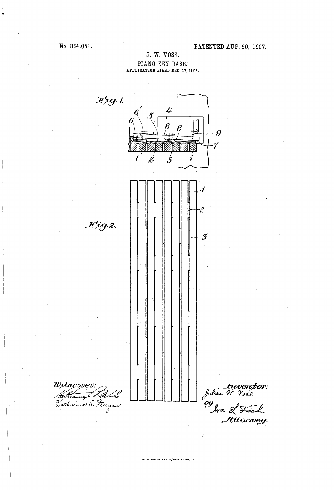## No. 864,051.

### PATENTED AUG. 20, 1907.

## J. W. VOSE. PIANO KEY BASE.<br>APPLICATION FILED DEC. 17, 1906.

 $\mathcal{F}$ ig. 1.  $\overline{\mathcal{B}}$  $\cdot$ g  $\mathcal{I}$ þ  $\acute{z}$ r<br>hr  $I^{t}$ iq. 2. -3 Witnesses Inventor:<br>Inhen Ir. Vose by<br>Ira L. Fish Hatharme a. D. gan  $\cdot$  }.

THE HORRIS PETERS CO., WASHINGTON, D. C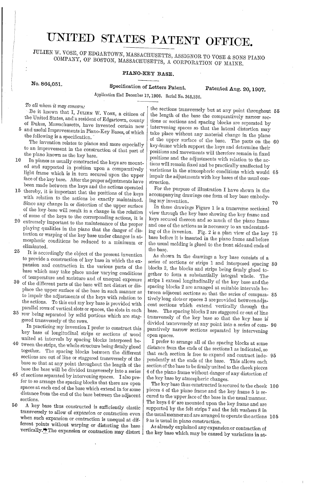# UNITED STATES PATENT OFFICE.

JULIEN W. VOSE, OF EDGARTOWN, MASSACHUSETTS, ASSIGNOR TO VOSE & SONS PIANO COMPANY, OF BOSTON, MASSACEIUSETTS, A CORPORATION OF MAINE.

#### PIANO-KEY BASE.

No. 864,051. Specification of Letters Patent. Patented Aug. 20, 1907.

Application filed December 17, 1906, Serial No. 348,336,

To all whom it may concern:

Be it known that I, JULIEN W. VOSE, a citizen of the United States, and a resident of Edgartown, county of Dukes, Massachusetts, have invented certain new

and useful Improvements in Piano-Key Bases, of which the following is a specification. 5

The invention relates to pianos and more especially to an improvement in the construction of that part of the piano known as the key base.

- 10 In pianos as usually constructed the keys are mount-<br>ed and supported in position upon a comparatively In pianos as usually constructed the keys are mount light frame which is in turn secured upon the upper<br>face of the key base. After the proper adjustments have<br>been made between the keys and the actions operated
- 15 been made between the keys and the actions operated thereby, it is important that the positions of the keys with relation to the actions be exactly maintained. Since any change in or distortion of the upper surface of the key base will result in a change in the relation
- 20 extremely important to the maintenance of the proper 25 playing qualities in the piano that the danger of distortion or warping of the key base under changes in atmospheric conditions be reduced to a minimum or eliminated.
- It is accordingly the object of the present invention to provide a construction of key base in which the ex pansion and contraction in the various parts of the base which may take place under varying conditions of temperature and moisture and of unequal exposure
- 30 of the different parts of the base will not distort or dis place the upper surface of the base in such manner as to impair the adjustments of the keys with relation to the actions. To this end my key base is provided with parallel rows of vertical slots or spaces, the slots in each
- 35 row being separated by solid portions which are stay row being separated by Solid portions which are stag gered transversely of the rows.

In practicing my invention I prefer to construct this key base of longitudinal strips or sections of wood united at intervals by spacing blocks interposed be

- 40 tween the strips, the whole structure being firmly glued together. The spacing blocks between the different sections are out of line or staggered transversely of the base so that at any point throughout the length of the base the base will be divided transversely into a series
- 45 of sections separated by intervening spaces. I also prefer to so arrange the spacing blocks that there are open spaces at each end of the base which extend in for some distance from the end of the base between the adjacent sections.
- 50 A key base thus constructed is sufficiently elastic transversely to allow of expansion or contraction even when such expansion or contraction is unequal at different points without warping or distorting the base vertically. The expansion or contraction may distort

the sections transversely but at any point throughout 55 the length of the base the comparatively narrow sections or sections and spacing blocks are separated by intervening spaces so that the lateral distortion may take place without any material change in the plane of the upper surface of the base. The parts on the 60 key-frame which support the keys and determine their positions and movements will therefore remain in fixed positions and the adjustments with relation to the actions will remain fixed and be practically unaffected by tions will remain fixed and be practically unaffected by variations in the atmospheric conditions which would 65 impair the adjustments with key bases of the usual con struction.

For the purpose of illustration I have shown in the accompanying drawings one form of key base embody ing my invention. 70

In these drawings Figure l is a transverse sectional view through the key base showing the key frame and keys secured thereon and so much of the piano frame and one of the actions as is necessary to an understand ing of the invenion. Fig. 2 is a plan view of the key 75 base before it is inserted in the piano frame and before the usual molding is glued to the front side and ends of the base.

As shown in the drawings a key base consists of a blocks 2, the blocks and strips being firmly glued together to form a substantially integral whole. The strips 1 extend longitudinally of the key base and the spacing blocks 2 are arranged at suitable intervals be tively long slots or spaces 3 are provided between adjacent sections which extend vertically through the base. The spacing blocks 2 are staggered or out of line transversely of the key base so that the key base is divided transversely at any point into a series of com- 90 paratively narrow sections separated by intervening open Spaces. series of sections or strips 1 and interposed spacing 80 tween adjacent sections so that the series of compara-85

I prefer to arrange all of the spacing blocks at some distance from the ends of the sections 1 as indicated, so that each section is free to expand and contract inde 95 pendently at the ends of the base. This allows each 4 of the piano frame without danger of any distortion of the key base by atmospheric changes.

The key base thus constructed is secured to the cheek 100 pieces 4 of the piano frame and the key frame 5 is se cured to the upper face of the base in the usual manner. The keys 6.6' are mounted upon the key frame and are supported by the felt strips  $\hat{7}$  and the felt washers 8 in the usual manner and are arranged to operate the actions 105 9 as is usual in piano construction.

As already explained any expansion or contraction of the key base which may be caused by variations in at